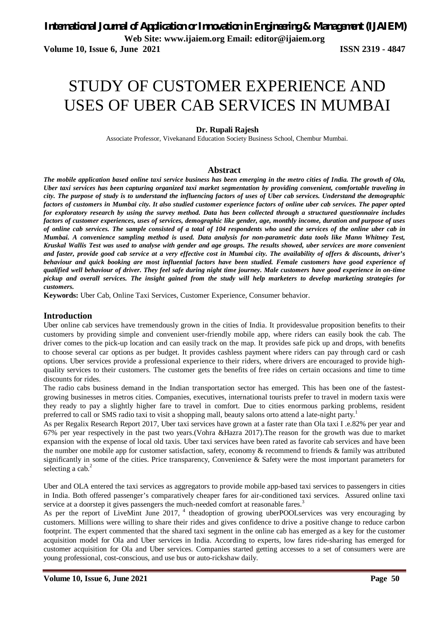**Volume 10, Issue 6, June 2021 ISSN 2319 - 4847** 

# STUDY OF CUSTOMER EXPERIENCE AND USES OF UBER CAB SERVICES IN MUMBAI

#### **Dr. Rupali Rajesh**

Associate Professor, Vivekanand Education Society Business School, Chembur Mumbai.

#### **Abstract**

*The mobile application based online taxi service business has been emerging in the metro cities of India. The growth of Ola, Uber taxi services has been capturing organized taxi market segmentation by providing convenient, comfortable traveling in city. The purpose of study is to understand the influencing factors of uses of Uber cab services. Understand the demographic factors of customers in Mumbai city. It also studied customer experience factors of online uber cab services. The paper opted for exploratory research by using the survey method. Data has been collected through a structured questionnaire includes factors of customer experiences, uses of services, demographic like gender, age, monthly income, duration and purpose of uses of online cab services. The sample consisted of a total of 104 respondents who used the services of the online uber cab in Mumbai. A convenience sampling method is used. Data analysis for non-parametric data tools like Mann Whitney Test, Kruskal Wallis Test was used to analyse with gender and age groups. The results showed, uber services are more convenient and faster, provide good cab service at a very effective cost in Mumbai city. The availability of offers & discounts, driver's behaviour and quick booking are most influential factors have been studied. Female customers have good experience of qualified well behaviour of driver. They feel safe during night time journey. Male customers have good experience in on-time pickup and overall services. The insight gained from the study will help marketers to develop marketing strategies for customers.* 

**Keywords:** Uber Cab, Online Taxi Services, Customer Experience, Consumer behavior.

#### **Introduction**

Uber online cab services have tremendously grown in the cities of India. It providesvalue proposition benefits to their customers by providing simple and convenient user-friendly mobile app, where riders can easily book the cab. The driver comes to the pick-up location and can easily track on the map. It provides safe pick up and drops, with benefits to choose several car options as per budget. It provides cashless payment where riders can pay through card or cash options. Uber services provide a professional experience to their riders, where drivers are encouraged to provide highquality services to their customers. The customer gets the benefits of free rides on certain occasions and time to time discounts for rides.

The radio cabs business demand in the Indian transportation sector has emerged. This has been one of the fastestgrowing businesses in metros cities. Companies, executives, international tourists prefer to travel in modern taxis were they ready to pay a slightly higher fare to travel in comfort. Due to cities enormous parking problems, resident preferred to call or SMS radio taxi to visit a shopping mall, beauty salons orto attend a late-night party.<sup>1</sup>

As per Regalix Research Report 2017, Uber taxi services have grown at a faster rate than Ola taxi I .e.82% per year and 67% per year respectively in the past two years.(Vohra &Hazra 2017).The reason for the growth was due to market expansion with the expense of local old taxis. Uber taxi services have been rated as favorite cab services and have been the number one mobile app for customer satisfaction, safety, economy & recommend to friends & family was attributed significantly in some of the cities. Price transparency, Convenience & Safety were the most important parameters for selecting a cab.<sup>2</sup>

Uber and OLA entered the taxi services as aggregators to provide mobile app-based taxi services to passengers in cities in India. Both offered passenger's comparatively cheaper fares for air-conditioned taxi services. Assured online taxi service at a doorstep it gives passengers the much-needed comfort at reasonable fares.<sup>3</sup>

As per the report of LiveMint June 2017, <sup>4</sup> theadoption of growing uberPOOLservices was very encouraging by customers. Millions were willing to share their rides and gives confidence to drive a positive change to reduce carbon footprint. The expert commented that the shared taxi segment in the online cab has emerged as a key for the customer acquisition model for Ola and Uber services in India. According to experts, low fares ride-sharing has emerged for customer acquisition for Ola and Uber services. Companies started getting accesses to a set of consumers were are young professional, cost-conscious, and use bus or auto-rickshaw daily.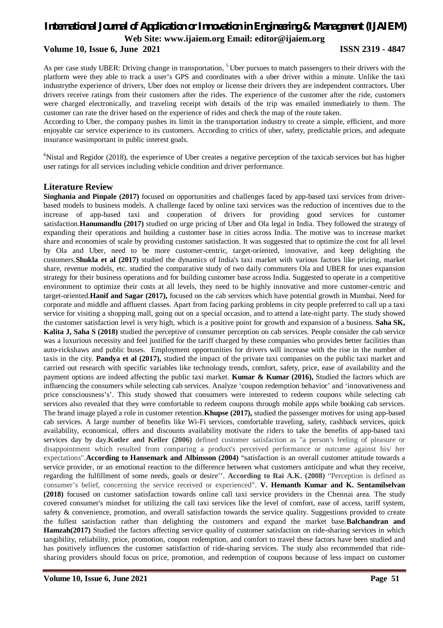#### **Volume 10, Issue 6, June 2021 ISSN 2319 - 4847**

As per case study UBER: Driving change in transportation, <sup>5</sup> Uber pursues to match passengers to their drivers with the platform were they able to track a user's GPS and coordinates with a uber driver within a minute. Unlike the taxi industrythe experience of drivers, Uber does not employ or license their drivers they are independent contractors. Uber drivers receive ratings from their customers after the rides. The experience of the customer after the ride, customers were charged electronically, and traveling receipt with details of the trip was emailed immediately to them. The customer can rate the driver based on the experience of rides and check the map of the route taken.

According to Uber, the company pushes its limit in the transportation industry to create a simple, efficient, and more enjoyable car service experience to its customers. According to critics of uber, safety, predictable prices, and adequate insurance wasimportant in public interest goals.

 $6$ Nistal and Regidor (2018), the experience of Uber creates a negative perception of the taxicab services but has higher user ratings for all services including vehicle condition and driver performance.

#### **Literature Review**

**Singhania and Pinpale (2017)** focused on opportunities and challenges faced by app-based taxi services from driverbased models to business models. A challenge faced by online taxi services was the reduction of incentives due to the increase of app-based taxi and cooperation of drivers for providing good services for customer satisfaction.**Hanumandlu (2017)** studied on urge pricing of Uber and Ola legal in India. They followed the strategy of expanding their operations and building a customer base in cities across India. The motive was to increase market share and economies of scale by providing customer satisfaction. It was suggested that to optimize the cost for all level by Ola and Uber, need to be more customer-centric, target-oriented, innovative, and keep delighting the customers.**Shukla et al (2017)** studied the dynamics of India's taxi market with various factors like pricing, market share, revenue models, etc. studied the comparative study of two daily commuters Ola and UBER for uses expansion strategy for their business operations and for building customer base across India. Suggested to operate in a competitive environment to optimize their costs at all levels, they need to be highly innovative and more customer-centric and target-oriented.**Hanif and Sagar (2017),** focused on the cab services which have potential growth in Mumbai. Need for corporate and middle and affluent classes. Apart from facing parking problems in city people preferred to call up a taxi service for visiting a shopping mall, going out on a special occasion, and to attend a late-night party. The study showed the customer satisfaction level is very high, which is a positive point for growth and expansion of a business. **Saha SK, Kalita J, Saha S (2018)** studied the perceptive of consumer perception on cab services. People consider the cab service was a luxurious necessity and feel justified for the tariff charged by these companies who provides better facilities than auto-rickshaws and public buses. Employment opportunities for drivers will increase with the rise in the number of taxis in the city. **Pandya et al (2017),** studied the impact of the private taxi companies on the public taxi market and carried out research with specific variables like technology trends, comfort, safety, price, ease of availability and the payment options are indeed affecting the public taxi market. **Kumar & Kumar (2016),** Studied the factors which are influencing the consumers while selecting cab services. Analyze 'coupon redemption behavior' and 'innovativeness and price consciousness's'. This study showed that consumers were interested to redeem coupons while selecting cab services also revealed that they were comfortable to redeem coupons through mobile apps while booking cab services. The brand image played a role in customer retention.**Khupse (2017),** studied the passenger motives for using app-based cab services. A large number of benefits like Wi-Fi services, comfortable traveling, safety, cashback services, quick availability, economical, offers and discounts availability motivate the riders to take the benefits of app-based taxi services day by day.**Kotler and Keller (2006)** defined customer satisfaction as "a person's feeling of pleasure or disappointment which resulted from comparing a product's perceived performance or outcome against his/ her expectations".**According to Hansemark and Albinsson (2004)** "satisfaction is an overall customer attitude towards a service provider, or an emotional reaction to the difference between what customers anticipate and what they receive, regarding the fulfillment of some needs, goals or desire''. **According to Rai A.K. (2008)** "Perception is defined as consumer's belief, concerning the service received or experienced". **V. Hemanth Kumar and K. Sentamilselvan (2018)** focused on customer satisfaction towards online call taxi service providers in the Chennai area. The study covered consumer's mindset for utilizing the call taxi services like the level of comfort, ease of access, tariff system, safety & convenience, promotion, and overall satisfaction towards the service quality. Suggestions provided to create the fullest satisfaction rather than delighting the customers and expand the market base.**Balchandran and Hamzah(2017)** Studied the factors affecting service quality of customer satisfaction on ride-sharing services in which tangibility, reliability, price, promotion, coupon redemption, and comfort to travel these factors have been studied and has positively influences the customer satisfaction of ride-sharing services. The study also recommended that ridesharing providers should focus on price, promotion, and redemption of coupons because of less impact on customer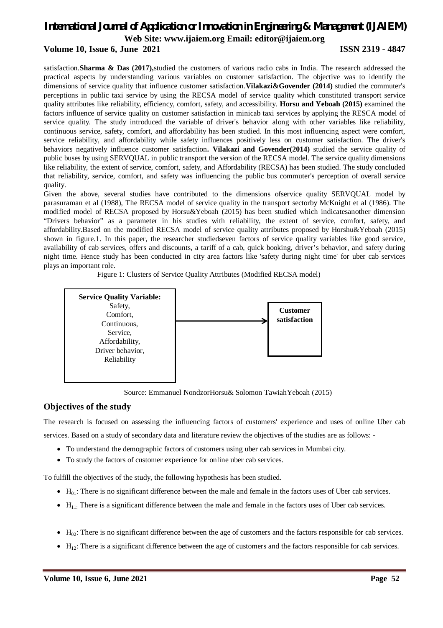#### **Volume 10, Issue 6, June 2021 ISSN 2319 - 4847**

satisfaction.**Sharma & Das (2017),**studied the customers of various radio cabs in India. The research addressed the practical aspects by understanding various variables on customer satisfaction. The objective was to identify the dimensions of service quality that influence customer satisfaction.**Vilakazi&Govender (2014)** studied the commuter's perceptions in public taxi service by using the RECSA model of service quality which constituted transport service quality attributes like reliability, efficiency, comfort, safety, and accessibility. **Horsu and Yeboah (2015)** examined the factors influence of service quality on customer satisfaction in minicab taxi services by applying the RESCA model of service quality. The study introduced the variable of driver's behavior along with other variables like reliability, continuous service, safety, comfort, and affordability has been studied. In this most influencing aspect were comfort, service reliability, and affordability while safety influences positively less on customer satisfaction. The driver's behaviors negatively influence customer satisfaction**. Vilakazi and Govender(2014)** studied the service quality of public buses by using SERVQUAL in public transport the version of the RECSA model. The service quality dimensions like reliability, the extent of service, comfort, safety, and Affordability (RECSA) has been studied. The study concluded that reliability, service, comfort, and safety was influencing the public bus commuter's perception of overall service quality.

Given the above, several studies have contributed to the dimensions ofservice quality SERVQUAL model by parasuraman et al (1988), The RECSA model of service quality in the transport sectorby McKnight et al (1986). The modified model of RECSA proposed by Horsu&Yeboah (2015) has been studied which indicatesanother dimension "Drivers behavior" as a parameter in his studies with reliability, the extent of service, comfort, safety, and affordability.Based on the modified RECSA model of service quality attributes proposed by Horshu&Yeboah (2015) shown in figure.1. In this paper, the researcher studiedseven factors of service quality variables like good service, availability of cab services, offers and discounts, a tariff of a cab, quick booking, driver's behavior, and safety during night time. Hence study has been conducted in city area factors like 'safety during night time' for uber cab services plays an important role.

Figure 1: Clusters of Service Quality Attributes (Modified RECSA model)



Source: Emmanuel NondzorHorsu& Solomon TawiahYeboah (2015)

#### **Objectives of the study**

The research is focused on assessing the influencing factors of customers' experience and uses of online Uber cab services. Based on a study of secondary data and literature review the objectives of the studies are as follows: -

- To understand the demographic factors of customers using uber cab services in Mumbai city.
- To study the factors of customer experience for online uber cab services.

To fulfill the objectives of the study, the following hypothesis has been studied.

- $H_{01}$ : There is no significant difference between the male and female in the factors uses of Uber cab services.
- $\bullet$  H<sub>11:</sub> There is a significant difference between the male and female in the factors uses of Uber cab services.
- H02: There is no significant difference between the age of customers and the factors responsible for cab services.
- $\bullet$  H<sub>12</sub>: There is a significant difference between the age of customers and the factors responsible for cab services.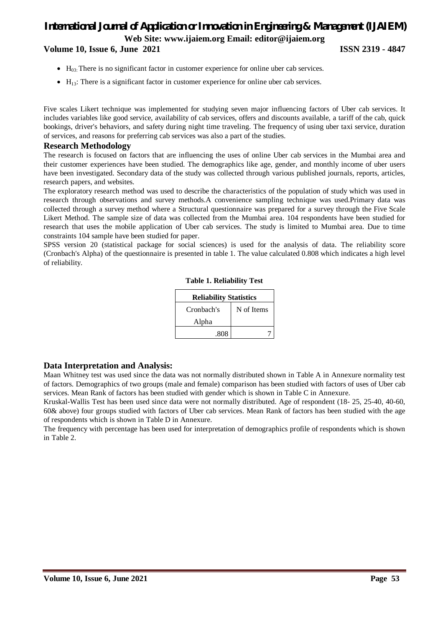**Volume 10, Issue 6, June 2021 ISSN 2319 - 4847** 

- $\bullet$  H<sub>03</sub>: There is no significant factor in customer experience for online uber cab services.
- $\bullet$  H<sub>13</sub>: There is a significant factor in customer experience for online uber cab services.

Five scales Likert technique was implemented for studying seven major influencing factors of Uber cab services. It includes variables like good service, availability of cab services, offers and discounts available, a tariff of the cab, quick bookings, driver's behaviors, and safety during night time traveling. The frequency of using uber taxi service, duration of services, and reasons for preferring cab services was also a part of the studies.

#### **Research Methodology**

The research is focused on factors that are influencing the uses of online Uber cab services in the Mumbai area and their customer experiences have been studied. The demographics like age, gender, and monthly income of uber users have been investigated. Secondary data of the study was collected through various published journals, reports, articles, research papers, and websites.

The exploratory research method was used to describe the characteristics of the population of study which was used in research through observations and survey methods.A convenience sampling technique was used.Primary data was collected through a survey method where a Structural questionnaire was prepared for a survey through the Five Scale Likert Method. The sample size of data was collected from the Mumbai area. 104 respondents have been studied for research that uses the mobile application of Uber cab services. The study is limited to Mumbai area. Due to time constraints 104 sample have been studied for paper.

SPSS version 20 (statistical package for social sciences) is used for the analysis of data. The reliability score (Cronbach's Alpha) of the questionnaire is presented in table 1. The value calculated 0.808 which indicates a high level of reliability.

| <b>Reliability Statistics</b> |            |  |  |  |  |  |  |  |
|-------------------------------|------------|--|--|--|--|--|--|--|
| Cronbach's                    | N of Items |  |  |  |  |  |  |  |
| Alpha                         |            |  |  |  |  |  |  |  |
| .808                          |            |  |  |  |  |  |  |  |

| <b>Table 1. Reliability Test</b> |  |  |  |  |
|----------------------------------|--|--|--|--|
|----------------------------------|--|--|--|--|

#### **Data Interpretation and Analysis:**

Maan Whitney test was used since the data was not normally distributed shown in Table A in Annexure normality test of factors. Demographics of two groups (male and female) comparison has been studied with factors of uses of Uber cab services. Mean Rank of factors has been studied with gender which is shown in Table C in Annexure.

Kruskal-Wallis Test has been used since data were not normally distributed. Age of respondent (18- 25, 25-40, 40-60, 60& above) four groups studied with factors of Uber cab services. Mean Rank of factors has been studied with the age of respondents which is shown in Table D in Annexure.

The frequency with percentage has been used for interpretation of demographics profile of respondents which is shown in Table 2.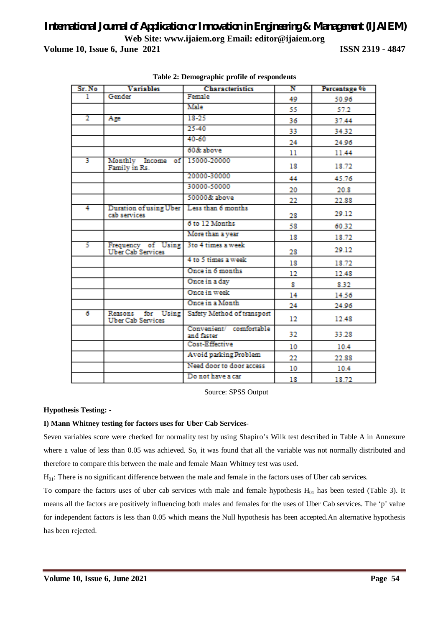| Sr. No         | <b>Variables</b>                               | <b>Characteristics</b>                | N   | Percentage % |
|----------------|------------------------------------------------|---------------------------------------|-----|--------------|
| ı              | Gender                                         | Female                                | 49  | 50.96        |
|                |                                                | Male                                  | 55. | 57.2         |
| $\overline{2}$ | Age                                            | $18 - 25$                             | 36  | 37.44        |
|                |                                                | $25 - 40$                             | 33  | 34.32        |
|                |                                                | 40-60                                 | 24  | 24.96        |
|                |                                                | 60& above                             | 11  | 11.44        |
| 3              | Monthly Income of 15000-20000<br>Family in Rs. |                                       | 18  | 18.72        |
|                |                                                | 20000-30000                           | 44  | 45.76        |
|                |                                                | 30000-50000                           | 20  | 20.8         |
|                |                                                | 50000& above                          | 22  | 22.88        |
| 4              | Duration of using Uber<br>cab services         | Less than 6 months                    | 28  | 29.12        |
|                |                                                | 6 to 12 Months                        | 58  | 60.32        |
|                |                                                | More than a year                      | 18  | 18.72        |
| 5.             | Frequency of Using<br><b>Uber Cab Services</b> | 3 to 4 times a week                   | 28  | 29.12        |
|                |                                                | 4 to 5 times a week                   | 18  | 18.72        |
|                |                                                | Once in 6 months                      | 12  | 12.48        |
|                |                                                | Once in a day                         | 8   | 8.32         |
|                |                                                | Once in week                          | 14  | 14.56        |
|                |                                                | Once in a Month                       | 24  | 24.96        |
| 6              | Reasons for Using<br><b>Uber Cab Services</b>  | Safety Method of transport            | 12  | 12.48        |
|                |                                                | Convenient/ comfortable<br>and faster | 32  | 33.28        |
|                |                                                | Cost-Effective                        | 10  | 10.4         |
|                |                                                | Avoid parking Problem                 | 22  | 22.88        |
|                |                                                | Need door to door access              | 10  | 10.4         |
|                |                                                | Do not have a car                     | 18  | 18.72        |

**Table 2: Demographic profile of respondents**

Source: SPSS Output

**Hypothesis Testing: -**

#### **I) Mann Whitney testing for factors uses for Uber Cab Services-**

Seven variables score were checked for normality test by using Shapiro's Wilk test described in Table A in Annexure where a value of less than 0.05 was achieved. So, it was found that all the variable was not normally distributed and therefore to compare this between the male and female Maan Whitney test was used.

 $H_{01}$ : There is no significant difference between the male and female in the factors uses of Uber cab services.

To compare the factors uses of uber cab services with male and female hypothesis  $H_{01}$  has been tested (Table 3). It means all the factors are positively influencing both males and females for the uses of Uber Cab services. The 'p' value for independent factors is less than 0.05 which means the Null hypothesis has been accepted.An alternative hypothesis has been rejected.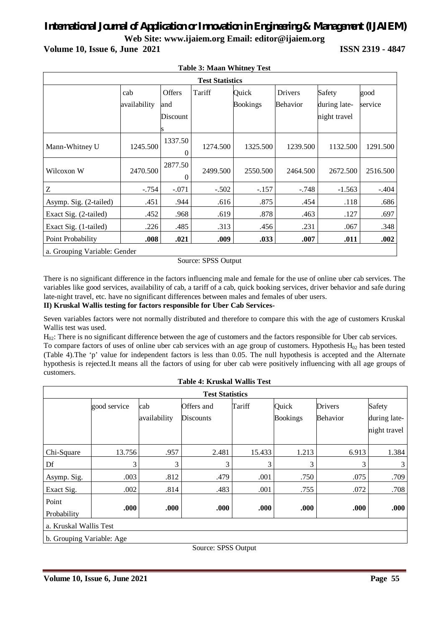| <b>Test Statistics</b>       |              |          |          |                 |                |              |          |  |
|------------------------------|--------------|----------|----------|-----------------|----------------|--------------|----------|--|
|                              | cab          | Offers   | Tariff   | Quick           | <b>Drivers</b> | Safety       | good     |  |
|                              | availability | and      |          | <b>Bookings</b> | Behavior       | during late- | service  |  |
|                              |              | Discount |          |                 |                | night travel |          |  |
|                              |              |          |          |                 |                |              |          |  |
|                              |              | 1337.50  |          | 1325.500        | 1239.500       | 1132.500     |          |  |
| Mann-Whitney U               | 1245.500     | $\Omega$ | 1274.500 |                 |                |              | 1291.500 |  |
| Wilcoxon W                   | 2470.500     | 2877.50  |          | 2550.500        | 2464.500       | 2672.500     |          |  |
|                              |              | $\Omega$ | 2499.500 |                 |                |              | 2516.500 |  |
| Ζ                            | $-.754$      | $-.071$  | $-.502$  | $-.157$         | -.748          | $-1.563$     | $-.404$  |  |
| Asymp. Sig. (2-tailed)       | .451         | .944     | .616     | .875            | .454           | .118         | .686     |  |
| Exact Sig. (2-tailed)        | .452         | .968     | .619     | .878            | .463           | .127         | .697     |  |
| Exact Sig. (1-tailed)        | .226         | .485     | .313     | .456            | .231           | .067         | .348     |  |
| Point Probability            | .008         | .021     | .009     | .033            | .007           | .011         | .002     |  |
| a. Grouping Variable: Gender |              |          |          |                 |                |              |          |  |

**Table 3: Maan Whitney Test** 

Source: SPSS Output

There is no significant difference in the factors influencing male and female for the use of online uber cab services. The variables like good services, availability of cab, a tariff of a cab, quick booking services, driver behavior and safe during late-night travel, etc. have no significant differences between males and females of uber users.

#### **II) Kruskal Wallis testing for factors responsible for Uber Cab Services-**

Seven variables factors were not normally distributed and therefore to compare this with the age of customers Kruskal Wallis test was used.

H02: There is no significant difference between the age of customers and the factors responsible for Uber cab services.

To compare factors of uses of online uber cab services with an age group of customers. Hypothesis  $H_{02}$  has been tested (Table 4).The 'p' value for independent factors is less than 0.05. The null hypothesis is accepted and the Alternate hypothesis is rejected.It means all the factors of using for uber cab were positively influencing with all age groups of customers.

| <b>Test Statistics</b>                              |              |              |                  |        |                 |          |                              |  |  |
|-----------------------------------------------------|--------------|--------------|------------------|--------|-----------------|----------|------------------------------|--|--|
|                                                     | good service | cab          | Offers and       | Tariff | Quick           | Drivers  | Safety                       |  |  |
|                                                     |              | availability | <b>Discounts</b> |        | <b>Bookings</b> | Behavior | during late-<br>night travel |  |  |
| Chi-Square                                          | 13.756       | .957         | 2.481            | 15.433 | 1.213           | 6.913    | 1.384                        |  |  |
| Df                                                  | 3            | 3            | 3                | 3      | 3               | 3        | 3                            |  |  |
| Asymp. Sig.                                         | .003         | .812         | .479             | .001   | .750            | .075     | .709                         |  |  |
| Exact Sig.                                          | .002         | .814         | .483             | .001   | .755            | .072     | .708                         |  |  |
| Point<br>Probability                                | .000         | .000         | .000             | .000   | .000            | .000     | .000                         |  |  |
| a. Kruskal Wallis Test<br>b. Grouping Variable: Age |              |              |                  |        |                 |          |                              |  |  |

**Table 4: Kruskal Wallis Test** 

Source: SPSS Output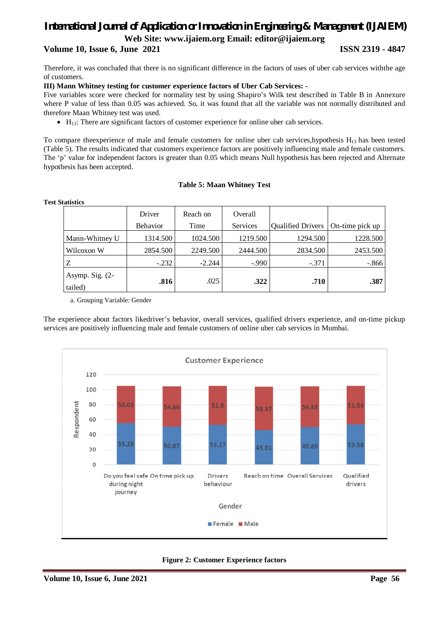#### **Volume 10, Issue 6, June 2021 ISSN 2319 - 4847**

Therefore, it was concluded that there is no significant difference in the factors of uses of uber cab services withthe age of customers.

#### **III) Mann Whitney testing for customer experience factors of Uber Cab Services: -**

Five variables score were checked for normality test by using Shapiro's Wilk test described in Table B in Annexure where P value of less than 0.05 was achieved. So, it was found that all the variable was not normally distributed and therefore Maan Whitney test was used.

 $\bullet$  H<sub>13</sub>: There are significant factors of customer experience for online uber cab services.

To compare theexperience of male and female customers for online uber cab services,hypothesis H<sub>13</sub> has been tested (Table 5). The results indicated that customers experience factors are positively influencing male and female customers. The 'p' value for independent factors is greater than 0.05 which means Null hypothesis has been rejected and Alternate hypothesis has been accepted.

#### **Table 5: Maan Whitney Test**

| vuusus                       |          |          |          |                          |                 |
|------------------------------|----------|----------|----------|--------------------------|-----------------|
|                              | Driver   | Reach on | Overall  |                          |                 |
|                              | Behavior | Time     | Services | <b>Qualified Drivers</b> | On-time pick up |
| Mann-Whitney U               | 1314.500 | 1024.500 | 1219.500 | 1294.500                 | 1228.500        |
| Wilcoxon W                   | 2854.500 | 2249.500 | 2444.500 | 2834.500                 | 2453.500        |
| Z                            | $-.232$  | $-2.244$ | $-.990$  | $-.371$                  | $-.866$         |
| Asymp. Sig. $(2-$<br>tailed) | .816     | .025     | .322     | .710                     | .387            |

**Test Statistics** 

a. Grouping Variable: Gender

The experience about factors likedriver's behavior, overall services, qualified drivers experience, and on-time pickup services are positively influencing male and female customers of online uber cab services in Mumbai.



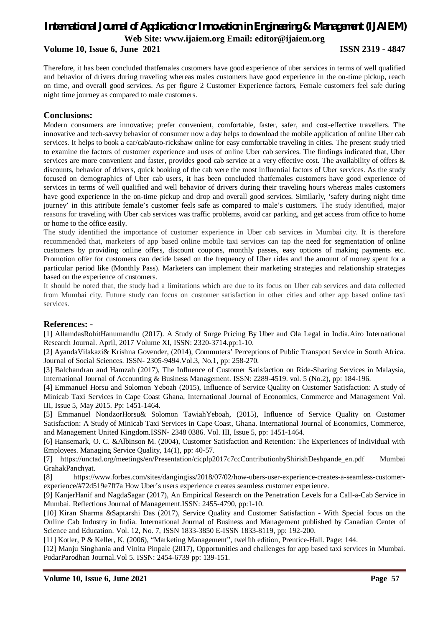# *International Journal of Application or Innovation in Engineering & Management (IJAIEM)*

**Web Site: www.ijaiem.org Email: editor@ijaiem.org**

**Volume 10, Issue 6, June 2021 ISSN 2319 - 4847** 

Therefore, it has been concluded thatfemales customers have good experience of uber services in terms of well qualified and behavior of drivers during traveling whereas males customers have good experience in the on-time pickup, reach on time, and overall good services. As per figure 2 Customer Experience factors, Female customers feel safe during night time journey as compared to male customers.

### **Conclusions:**

Modern consumers are innovative; prefer convenient, comfortable, faster, safer, and cost-effective travellers. The innovative and tech-savvy behavior of consumer now a day helps to download the mobile application of online Uber cab services. It helps to book a car/cab/auto-rickshaw online for easy comfortable traveling in cities. The present study tried to examine the factors of customer experience and uses of online Uber cab services. The findings indicated that, Uber services are more convenient and faster, provides good cab service at a very effective cost. The availability of offers & discounts, behavior of drivers, quick booking of the cab were the most influential factors of Uber services. As the study focused on demographics of Uber cab users, it has been concluded thatfemales customers have good experience of services in terms of well qualified and well behavior of drivers during their traveling hours whereas males customers have good experience in the on-time pickup and drop and overall good services. Similarly, 'safety during night time journey' in this attribute female's customer feels safe as compared to male's customers. The study identified, major reasons for traveling with Uber cab services was traffic problems, avoid car parking, and get access from office to home or home to the office easily.

The study identified the importance of customer experience in Uber cab services in Mumbai city. It is therefore recommended that, marketers of app based online mobile taxi services can tap the need for segmentation of online customers by providing online offers, discount coupons, monthly passes, easy options of making payments etc. Promotion offer for customers can decide based on the frequency of Uber rides and the amount of money spent for a particular period like (Monthly Pass). Marketers can implement their marketing strategies and relationship strategies based on the experience of customers.

It should be noted that, the study had a limitations which are due to its focus on Uber cab services and data collected from Mumbai city. Future study can focus on customer satisfaction in other cities and other app based online taxi services.

#### **References: -**

[1] AllamdasRohitHanumandlu (2017). A Study of Surge Pricing By Uber and Ola Legal in India.Airo International Research Journal. April, 2017 Volume XI, ISSN: 2320-3714.pp:1-10.

[2] AyandaVilakazi& Krishna Govender, (2014), Commuters' Perceptions of Public Transport Service in South Africa. Journal of Social Sciences. ISSN- 2305-9494.Vol.3, No.1, pp: 258-270.

[3] Balchandran and Hamzah (2017), The Influence of Customer Satisfaction on Ride-Sharing Services in Malaysia, International Journal of Accounting & Business Management. ISSN: 2289-4519. vol. 5 (No.2), pp: 184-196.

[4] Emmanuel Horsu and Solomon Yeboah (2015), Influence of Service Quality on Customer Satisfaction: A study of Minicab Taxi Services in Cape Coast Ghana, International Journal of Economics, Commerce and Management Vol. III, Issue 5, May 2015. Pp: 1451-1464.

[5] Emmanuel NondzorHorsu& Solomon TawiahYeboah, (2015), Influence of Service Quality on Customer Satisfaction: A Study of Minicab Taxi Services in Cape Coast, Ghana. International Journal of Economics, Commerce, and Management United Kingdom.ISSN- 2348 0386. Vol. III, Issue 5, pp: 1451-1464.

[6] Hansemark, O. C. &Albinson M. (2004), Customer Satisfaction and Retention: The Experiences of Individual with Employees. Managing Service Quality, 14(1), pp: 40-57.

[7] https://unctad.org/meetings/en/Presentation/cicplp2017c7ccContributionbyShirishDeshpande\_en.pdf Mumbai GrahakPanchyat.

[8] https://www.forbes.com/sites/dangingiss/2018/07/02/how-ubers-user-experience-creates-a-seamless-customerexperience/#72d519e7ff7a How Uber's users experience creates seamless customer experience.

[9] KanjerHanif and NagdaSagar (2017), An Empirical Research on the Penetration Levels for a Call-a-Cab Service in Mumbai. Reflections Journal of Management.ISSN: 2455-4790, pp:1-10.

[10] Kiran Sharma &Saptarshi Das (2017), Service Quality and Customer Satisfaction - With Special focus on the Online Cab Industry in India. International Journal of Business and Management published by Canadian Center of Science and Education. Vol. 12, No. 7, ISSN 1833-3850 E-ISSN 1833-8119, pp: 192-200.

[11] Kotler, P & Keller, K, (2006), "Marketing Management", twelfth edition, Prentice-Hall. Page: 144.

[12] Manju Singhania and Vinita Pinpale (2017), Opportunities and challenges for app based taxi services in Mumbai. PodarParodhan Journal.Vol 5. ISSN: 2454-6739 pp: 139-151.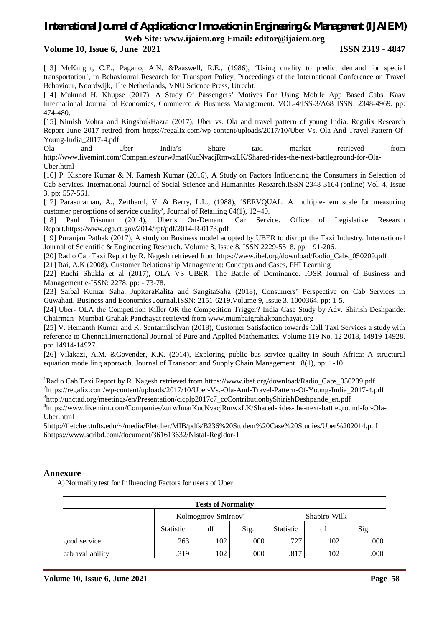#### **Volume 10, Issue 6, June 2021 ISSN 2319 - 4847**

[13] McKnight, C.E., Pagano, A.N. &Paaswell, R.E., (1986), 'Using quality to predict demand for special transportation', in Behavioural Research for Transport Policy, Proceedings of the International Conference on Travel Behaviour, Noordwijk, The Netherlands, VNU Science Press, Utrecht.

[14] Mukund H. Khupse (2017), A Study Of Passengers' Motives For Using Mobile App Based Cabs. Kaav International Journal of Economics, Commerce & Business Management. VOL-4/ISS-3/A68 ISSN: 2348-4969. pp: 474-480.

[15] Nimish Vohra and KingshukHazra (2017), Uber vs. Ola and travel pattern of young India. Regalix Research Report June 2017 retired from https://regalix.com/wp-content/uploads/2017/10/Uber-Vs.-Ola-And-Travel-Pattern-Of-Young-India\_2017-4.pdf

Ola and Uber India's Share taxi market retrieved from http://www.livemint.com/Companies/zurwJmatKucNvacjRmwxLK/Shared-rides-the-next-battleground-for-Ola-Uber.html

[16] P. Kishore Kumar & N. Ramesh Kumar (2016), A Study on Factors Influencing the Consumers in Selection of Cab Services. International Journal of Social Science and Humanities Research.ISSN 2348-3164 (online) Vol. 4, Issue 3, pp: 557-561.

[17] Parasuraman, A., Zeithaml, V. & Berry, L.L., (1988), 'SERVQUAL: A multiple-item scale for measuring customer perceptions of service quality', Journal of Retailing 64(1), 12–40.

[18] Paul Frisman (2014), Uber's On-Demand Car Service. Office of Legislative Research Report.https://www.cga.ct.gov/2014/rpt/pdf/2014-R-0173.pdf

[19] Puranjan Pathak (2017), A study on Business model adopted by UBER to disrupt the Taxi Industry. International Journal of Scientific & Engineering Research. Volume 8, Issue 8, ISSN 2229-5518. pp: 191-206.

[20] Radio Cab Taxi Report by R. Nagesh retrieved from https://www.ibef.org/download/Radio\_Cabs\_050209.pdf

[21] Rai, A.K (2008), Customer Relationship Management: Concepts and Cases, PHI Learning

[22] Ruchi Shukla et al (2017), OLA VS UBER: The Battle of Dominance. IOSR Journal of Business and Management.e-ISSN: 2278, pp: - 73-78.

[23] Saibal Kumar Saha, JupitaraKalita and SangitaSaha (2018), Consumers' Perspective on Cab Services in Guwahati. Business and Economics Journal.ISSN: 2151-6219.Volume 9, Issue 3. 1000364. pp: 1-5.

[24] Uber- OLA the Competition Killer OR the Competition Trigger? India Case Study by Adv. Shirish Deshpande: Chairman- Mumbai Grahak Panchayat retrieved from www.mumbaigrahakpanchayat.org

[25] V. Hemanth Kumar and K. Sentamilselvan (2018), Customer Satisfaction towards Call Taxi Services a study with reference to Chennai.International Journal of Pure and Applied Mathematics. Volume 119 No. 12 2018, 14919-14928. pp: 14914-14927.

[26] Vilakazi, A.M. &Govender, K.K. (2014), Exploring public bus service quality in South Africa: A structural equation modelling approach. Journal of Transport and Supply Chain Management. 8(1), pp: 1-10.

<sup>1</sup>Radio Cab Taxi Report by R. Nagesh retrieved from https://www.ibef.org/download/Radio\_Cabs\_050209.pdf.

<sup>2</sup>https://regalix.com/wp-content/uploads/2017/10/Uber-Vs.-Ola-And-Travel-Pattern-Of-Young-India\_2017-4.pdf

<sup>3</sup>http://unctad.org/meetings/en/Presentation/cicplp2017c7\_ccContributionbyShirishDeshpande\_en.pdf

4 https://www.livemint.com/Companies/zurwJmatKucNvacjRmwxLK/Shared-rides-the-next-battleground-for-Ola-Uber.html

5http://fletcher.tufts.edu/~/media/Fletcher/MIB/pdfs/B236%20Student%20Case%20Studies/Uber%202014.pdf 6https://www.scribd.com/document/361613632/Nistal-Regidor-1

#### **Annexure**

A) Normality test for Influencing Factors for users of Uber

| <b>Tests of Normality</b> |                  |                                 |      |                  |     |                   |  |  |
|---------------------------|------------------|---------------------------------|------|------------------|-----|-------------------|--|--|
|                           |                  | Kolmogorov-Smirnov <sup>a</sup> |      | Shapiro-Wilk     |     |                   |  |  |
|                           | <b>Statistic</b> | df                              | Sig. | <b>Statistic</b> | df  | Sig.              |  |  |
| good service              | .263             | 102                             | .000 | .727             | 102 | .000 <sup>1</sup> |  |  |
| cab availability          | .319             | 102                             | .000 | .817             | 102 | .000 <sup>1</sup> |  |  |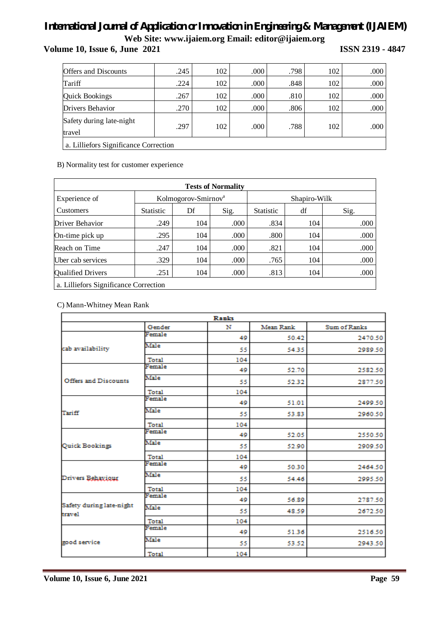**Volume 10, Issue 6, June 2021 ISSN 2319 - 4847**

| <b>Offers and Discounts</b>           | .245 | 102 | .000 | .798 | 102 | .000              |  |
|---------------------------------------|------|-----|------|------|-----|-------------------|--|
| Tariff                                | .224 | 102 | .000 | .848 | 102 | .000              |  |
| <b>Quick Bookings</b>                 | .267 | 102 | .000 | .810 | 102 | .000              |  |
| Drivers Behavior                      | .270 | 102 | .000 | .806 | 102 | .000              |  |
| Safety during late-night<br>travel    | .297 | 102 | .000 | .788 | 102 | .000 <sub>l</sub> |  |
| a. Lilliefors Significance Correction |      |     |      |      |     |                   |  |

B) Normality test for customer experience

| <b>Tests of Normality</b>             |                  |                                 |      |                  |     |              |  |  |  |  |
|---------------------------------------|------------------|---------------------------------|------|------------------|-----|--------------|--|--|--|--|
| Experience of                         |                  | Kolmogorov-Smirnov <sup>a</sup> |      |                  |     | Shapiro-Wilk |  |  |  |  |
| <b>Customers</b>                      | <b>Statistic</b> | Df                              | Sig. | <b>Statistic</b> | df  | Sig.         |  |  |  |  |
| Driver Behavior                       | .249             | 104                             | .000 | .834             | 104 | .000         |  |  |  |  |
| On-time pick up                       | .295             | 104                             | .000 | .800             | 104 | .000         |  |  |  |  |
| Reach on Time                         | .247             | 104                             | .000 | .821             | 104 | .000         |  |  |  |  |
| Uber cab services                     | .329             | 104                             | .000 | .765             | 104 | .000         |  |  |  |  |
| <b>Qualified Drivers</b>              | .251             | 104                             | .000 | .813             | 104 | .000         |  |  |  |  |
| a. Lilliefors Significance Correction |                  |                                 |      |                  |     |              |  |  |  |  |

C) Mann-Whitney Mean Rank

| Ranks                              |        |     |           |              |  |  |
|------------------------------------|--------|-----|-----------|--------------|--|--|
|                                    | Gender | N   | Mean Rank | Sum of Ranks |  |  |
|                                    | Female | 49  | 50.42     | 2470.50      |  |  |
| cab availability                   | Male   | 55  | 54.35     | 2989.50      |  |  |
|                                    | Total  | 104 |           |              |  |  |
|                                    | Female | 49  | 52.70     | 2582.50      |  |  |
| Offers and Discounts               | Male   | 55  | 52.32     | 2877.50      |  |  |
|                                    | Total  | 104 |           |              |  |  |
|                                    | Female | 49  | 51.01     | 2499.50      |  |  |
| Tariff                             | Male   | 55  | 53.83     | 2960.50      |  |  |
|                                    | Total  | 104 |           |              |  |  |
|                                    | Female | 49  | 52.05     | 2550.50      |  |  |
| Quick Bookings                     | Male   | 55  | 52.90     | 2909.50      |  |  |
|                                    | Total  | 104 |           |              |  |  |
|                                    | Female | 49  | 50.30     | 2464.50      |  |  |
| Drivers Behaviour                  | Male   | 55  | 54.46     | 2995.50      |  |  |
|                                    | Total  | 104 |           |              |  |  |
|                                    | Female | 49  | 56.89     | 2787.50      |  |  |
| Safety during late-night<br>travel | Male   | 55  | 48.59     | 2672.50      |  |  |
|                                    | Total  | 104 |           |              |  |  |
|                                    | Female | 49  | 51.36     | 2516.50      |  |  |
| good service                       | Male   | 55  | 53.52     | 2943.50      |  |  |
|                                    | Total  | 104 |           |              |  |  |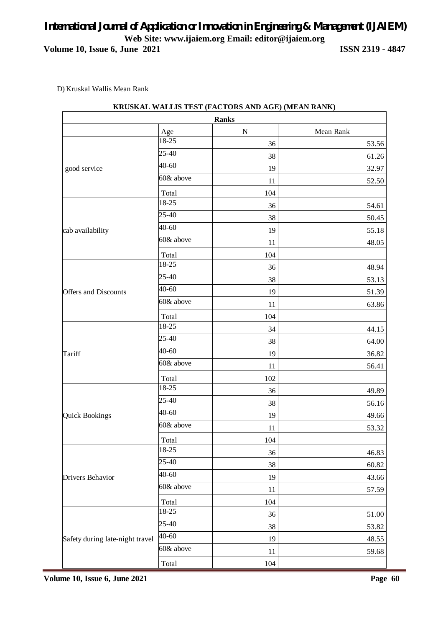D) Kruskal Wallis Mean Rank

|                                 |           | <b>Ranks</b> |           |
|---------------------------------|-----------|--------------|-----------|
|                                 | Age       | ${\bf N}$    | Mean Rank |
|                                 | 18-25     | 36           | 53.56     |
|                                 | 25-40     | 38           | 61.26     |
| good service                    | 40-60     | 19           | 32.97     |
|                                 | 60& above | 11           | 52.50     |
|                                 | Total     | 104          |           |
|                                 | 18-25     | 36           | 54.61     |
|                                 | 25-40     | 38           | 50.45     |
| cab availability                | 40-60     | 19           | 55.18     |
|                                 | 60& above | 11           | 48.05     |
|                                 | Total     | 104          |           |
|                                 | 18-25     | 36           | 48.94     |
|                                 | 25-40     | 38           | 53.13     |
| <b>Offers and Discounts</b>     | 40-60     | 19           | 51.39     |
|                                 | 60& above | 11           | 63.86     |
|                                 | Total     | 104          |           |
|                                 | 18-25     | 34           | 44.15     |
|                                 | 25-40     | 38           | 64.00     |
| Tariff                          | 40-60     | 19           | 36.82     |
|                                 | 60& above | 11           | 56.41     |
|                                 | Total     | 102          |           |
|                                 | 18-25     | 36           | 49.89     |
|                                 | 25-40     | 38           | 56.16     |
| <b>Quick Bookings</b>           | 40-60     | 19           | 49.66     |
|                                 | 60& above | 11           | 53.32     |
|                                 | Total     | 104          |           |
|                                 | 18-25     | 36           | 46.83     |
|                                 | 25-40     | 38           | 60.82     |
| Drivers Behavior                | 40-60     | 19           | 43.66     |
|                                 | 60& above | 11           | 57.59     |
|                                 | Total     | 104          |           |
|                                 | 18-25     | 36           | 51.00     |
|                                 | 25-40     | 38           | 53.82     |
| Safety during late-night travel | 40-60     |              |           |
|                                 | 60& above | 19           | 48.55     |
|                                 |           | 11           | 59.68     |
|                                 | Total     | 104          |           |

### **KRUSKAL WALLIS TEST (FACTORS AND AGE) (MEAN RANK)**

**Volume 10, Issue 6, June 2021** Page 60